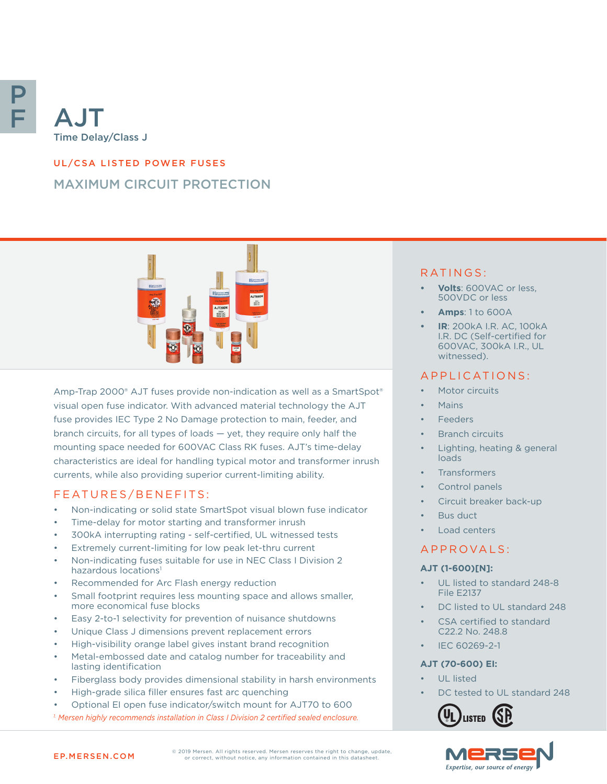

# UL/CSA LISTED POWER FUSES MAXIMUM CIRCUIT PROTECTION



Amp-Trap 2000® AJT fuses provide non-indication as well as a SmartSpot® visual open fuse indicator. With advanced material technology the AJT fuse provides IEC Type 2 No Damage protection to main, feeder, and branch circuits, for all types of loads — yet, they require only half the mounting space needed for 600VAC Class RK fuses. AJT's time-delay characteristics are ideal for handling typical motor and transformer inrush currents, while also providing superior current-limiting ability.

#### FEATURES/BENEFITS:

- Non-indicating or solid state SmartSpot visual blown fuse indicator
- Time-delay for motor starting and transformer inrush
- 300kA interrupting rating self-certified, UL witnessed tests
- Extremely current-limiting for low peak let-thru current
- Non-indicating fuses suitable for use in NEC Class I Division 2 hazardous locations<sup>1</sup>
- Recommended for Arc Flash energy reduction
- Small footprint requires less mounting space and allows smaller. more economical fuse blocks
- Easy 2-to-1 selectivity for prevention of nuisance shutdowns
- Unique Class J dimensions prevent replacement errors
- High-visibility orange label gives instant brand recognition
- Metal-embossed date and catalog number for traceability and lasting identification
- Fiberglass body provides dimensional stability in harsh environments
- High-grade silica filler ensures fast arc quenching
- Optional EI open fuse indicator/switch mount for AJT70 to 600 *1. Mersen highly recommends installation in Class I Division 2 certified sealed enclosure.*

#### RATINGS:

- **• Volts**: 600VAC or less, 500VDC or less
- **• Amps**: 1 to 600A
- **• IR**: 200kA I.R. AC, 100kA I.R. DC (Self-certified for 600VAC, 300kA I.R., UL witnessed).

#### APPLICATIONS:

- Motor circuits
- Mains
- Feeders
- **Branch circuits**
- Lighting, heating & general loads
- **Transformers**
- Control panels
- Circuit breaker back-up
- Bus duct
- Load centers

#### A P P R O V A L S :

#### **AJT (1-600)[N]:**

- UL listed to standard 248-8 File E2137
- DC listed to UL standard 248
- CSA certified to standard C22.2 No. 248.8
- IEC 60269-2-1

#### **AJT (70-600) EI:**

- UL listed
- DC tested to UL standard 248